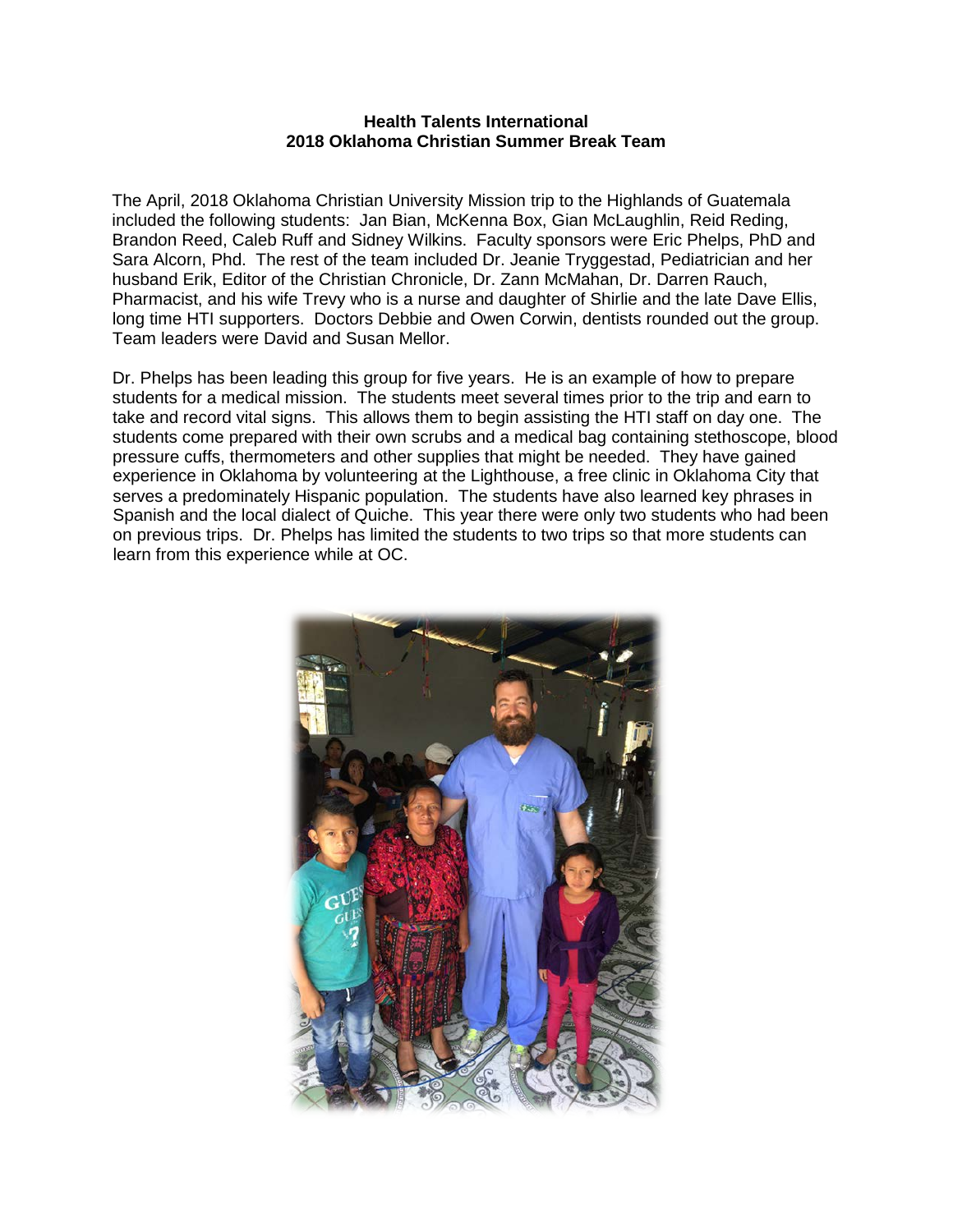## **Health Talents International 2018 Oklahoma Christian Summer Break Team**

The April, 2018 Oklahoma Christian University Mission trip to the Highlands of Guatemala included the following students: Jan Bian, McKenna Box, Gian McLaughlin, Reid Reding, Brandon Reed, Caleb Ruff and Sidney Wilkins. Faculty sponsors were Eric Phelps, PhD and Sara Alcorn, Phd. The rest of the team included Dr. Jeanie Tryggestad, Pediatrician and her husband Erik, Editor of the Christian Chronicle, Dr. Zann McMahan, Dr. Darren Rauch, Pharmacist, and his wife Trevy who is a nurse and daughter of Shirlie and the late Dave Ellis, long time HTI supporters. Doctors Debbie and Owen Corwin, dentists rounded out the group. Team leaders were David and Susan Mellor.

Dr. Phelps has been leading this group for five years. He is an example of how to prepare students for a medical mission. The students meet several times prior to the trip and earn to take and record vital signs. This allows them to begin assisting the HTI staff on day one. The students come prepared with their own scrubs and a medical bag containing stethoscope, blood pressure cuffs, thermometers and other supplies that might be needed. They have gained experience in Oklahoma by volunteering at the Lighthouse, a free clinic in Oklahoma City that serves a predominately Hispanic population. The students have also learned key phrases in Spanish and the local dialect of Quiche. This year there were only two students who had been on previous trips. Dr. Phelps has limited the students to two trips so that more students can learn from this experience while at OC.

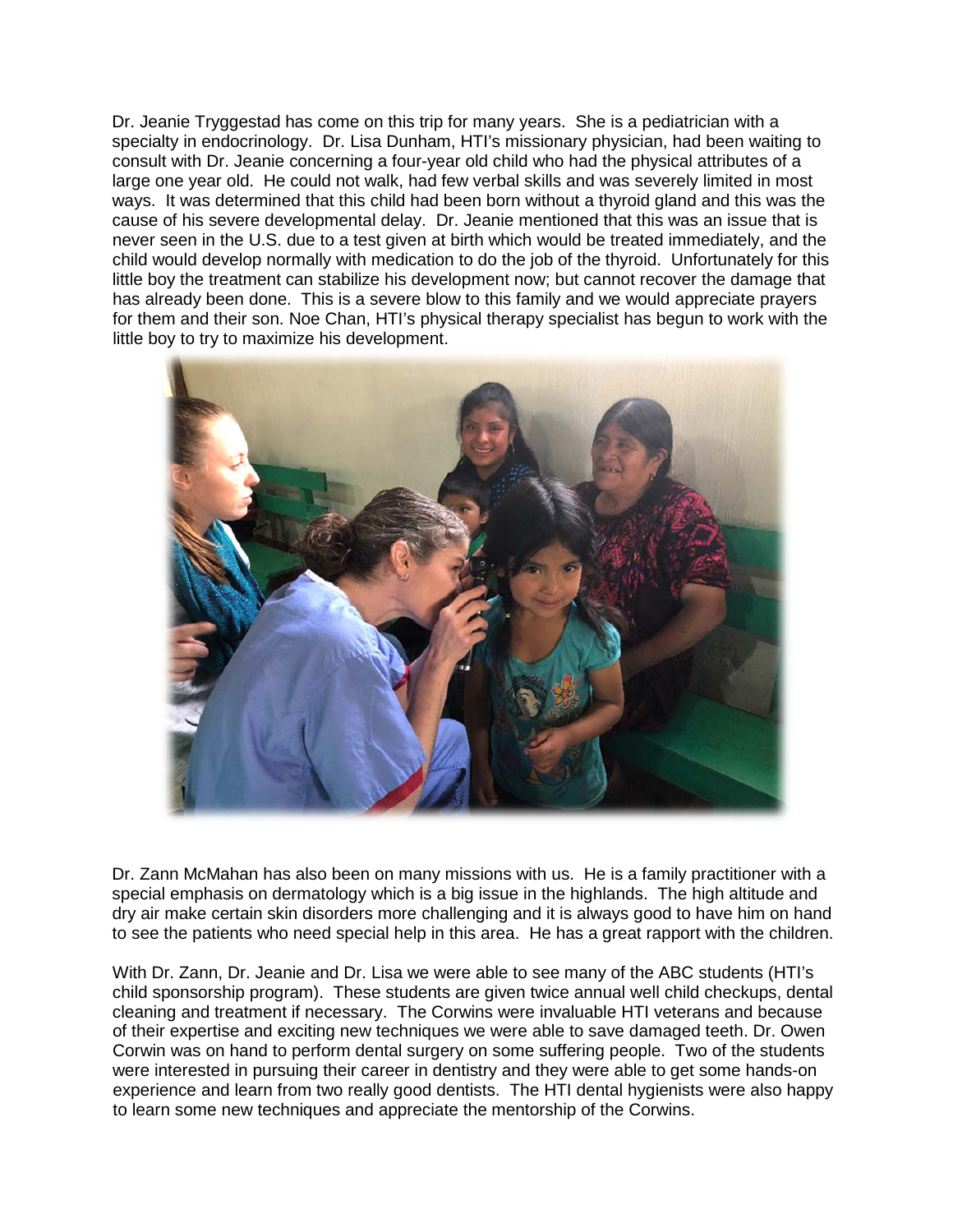Dr. Jeanie Tryggestad has come on this trip for many years. She is a pediatrician with a specialty in endocrinology. Dr. Lisa Dunham, HTI's missionary physician, had been waiting to consult with Dr. Jeanie concerning a four-year old child who had the physical attributes of a large one year old. He could not walk, had few verbal skills and was severely limited in most ways. It was determined that this child had been born without a thyroid gland and this was the cause of his severe developmental delay. Dr. Jeanie mentioned that this was an issue that is never seen in the U.S. due to a test given at birth which would be treated immediately, and the child would develop normally with medication to do the job of the thyroid. Unfortunately for this little boy the treatment can stabilize his development now; but cannot recover the damage that has already been done. This is a severe blow to this family and we would appreciate prayers for them and their son. Noe Chan, HTI's physical therapy specialist has begun to work with the little boy to try to maximize his development.



Dr. Zann McMahan has also been on many missions with us. He is a family practitioner with a special emphasis on dermatology which is a big issue in the highlands. The high altitude and dry air make certain skin disorders more challenging and it is always good to have him on hand to see the patients who need special help in this area. He has a great rapport with the children.

With Dr. Zann, Dr. Jeanie and Dr. Lisa we were able to see many of the ABC students (HTI's child sponsorship program). These students are given twice annual well child checkups, dental cleaning and treatment if necessary. The Corwins were invaluable HTI veterans and because of their expertise and exciting new techniques we were able to save damaged teeth. Dr. Owen Corwin was on hand to perform dental surgery on some suffering people. Two of the students were interested in pursuing their career in dentistry and they were able to get some hands-on experience and learn from two really good dentists. The HTI dental hygienists were also happy to learn some new techniques and appreciate the mentorship of the Corwins.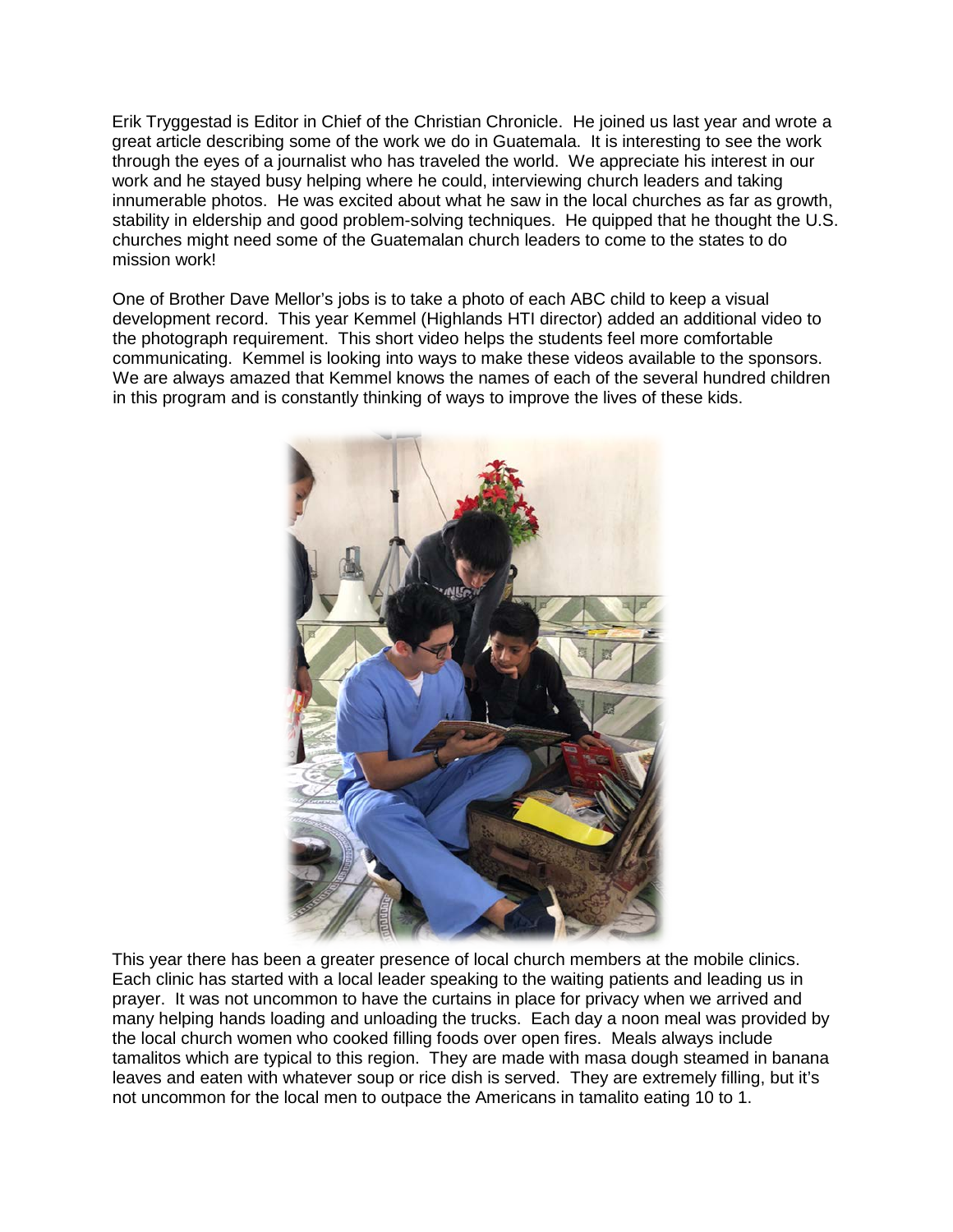Erik Tryggestad is Editor in Chief of the Christian Chronicle. He joined us last year and wrote a great article describing some of the work we do in Guatemala. It is interesting to see the work through the eyes of a journalist who has traveled the world. We appreciate his interest in our work and he stayed busy helping where he could, interviewing church leaders and taking innumerable photos. He was excited about what he saw in the local churches as far as growth, stability in eldership and good problem-solving techniques. He quipped that he thought the U.S. churches might need some of the Guatemalan church leaders to come to the states to do mission work!

One of Brother Dave Mellor's jobs is to take a photo of each ABC child to keep a visual development record. This year Kemmel (Highlands HTI director) added an additional video to the photograph requirement. This short video helps the students feel more comfortable communicating. Kemmel is looking into ways to make these videos available to the sponsors. We are always amazed that Kemmel knows the names of each of the several hundred children in this program and is constantly thinking of ways to improve the lives of these kids.



This year there has been a greater presence of local church members at the mobile clinics. Each clinic has started with a local leader speaking to the waiting patients and leading us in prayer. It was not uncommon to have the curtains in place for privacy when we arrived and many helping hands loading and unloading the trucks. Each day a noon meal was provided by the local church women who cooked filling foods over open fires. Meals always include tamalitos which are typical to this region. They are made with masa dough steamed in banana leaves and eaten with whatever soup or rice dish is served. They are extremely filling, but it's not uncommon for the local men to outpace the Americans in tamalito eating 10 to 1.